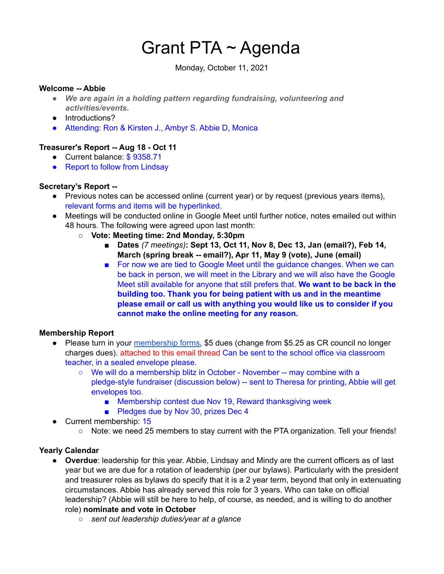# Grant PTA ~ Agenda

Monday, October 11, 2021

#### **Welcome -- Abbie**

- *● We are again in a holding pattern regarding fundraising, volunteering and activities/events.*
- Introductions?
- Attending: Ron & Kirsten J., Ambyr S. Abbie D, Monica

# **Treasurer's Report -- Aug 18 - Oct 11**

- Current balance: \$9358.71
- Report to follow from Lindsay

# **Secretary's Report --**

- Previous notes can be accessed online (current year) or by request (previous years items), relevant forms and items will be hyperlinked.
- Meetings will be conducted online in Google Meet until further notice, notes emailed out within 48 hours. The following were agreed upon last month:
	- **○ Vote: Meeting time: 2nd Monday, 5:30pm**
		- **■ Dates** *(7 meetings)***: Sept 13, Oct 11, Nov 8, Dec 13, Jan (email?), Feb 14, March (spring break -- email?), Apr 11, May 9 (vote), June (email)**
		- For now we are tied to Google Meet until the guidance changes. When we can be back in person, we will meet in the Library and we will also have the Google Meet still available for anyone that still prefers that. **We want to be back in the building too. Thank you for being patient with us and in the meantime please email or call us with anything you would like us to consider if you cannot make the online meeting for any reason.**

#### **Membership Report**

- Please turn in your [membership](https://docs.google.com/document/u/6/d/1uPbiR6U21vNWAVk0MlDmTQn7ribgQYQ9j_b-uv61O-I/edit) forms, \$5 dues (change from \$5.25 as CR council no longer charges dues). attached to this email thread Can be sent to the school office via classroom teacher, in a sealed envelope please.
	- We will do a membership blitz in October November -- may combine with a pledge-style fundraiser (discussion below) -- sent to Theresa for printing, Abbie will get envelopes too.
		- Membership contest due Nov 19, Reward thanksgiving week
		- Pledges due by Nov 30, prizes Dec 4
- Current membership: 15
	- Note: we need 25 members to stay current with the PTA organization. Tell your friends!

# **Yearly Calendar**

- **Overdue**: leadership for this year. Abbie, Lindsay and Mindy are the current officers as of last year but we are due for a rotation of leadership (per our bylaws). Particularly with the president and treasurer roles as bylaws do specify that it is a 2 year term, beyond that only in extenuating circumstances. Abbie has already served this role for 3 years. Who can take on official leadership? (Abbie will still be here to help, of course, as needed, and is willing to do another role) **nominate and vote in October**
	- *○ sent out leadership duties/year at a glance*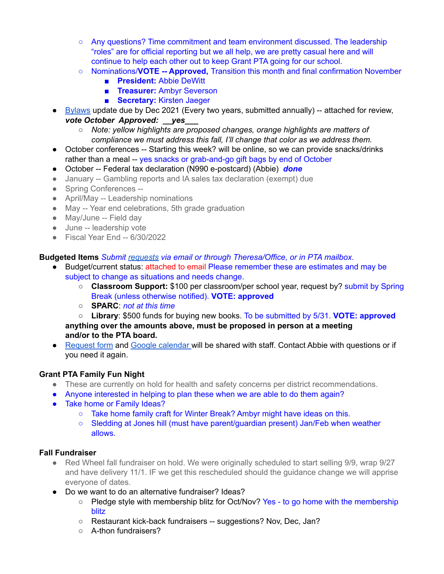- Any questions? Time commitment and team environment discussed. The leadership "roles" are for official reporting but we all help, we are pretty casual here and will continue to help each other out to keep Grant PTA going for our school.
- Nominations/**VOTE -- Approved,** Transition this month and final confirmation November
	- **■ President:** Abbie DeWitt
	- **■ Treasurer:** Ambyr Severson
	- **■ Secretary:** Kirsten Jaeger
- [Bylaws](https://docs.google.com/document/u/6/d/1qTS5ot88nC8pceMK06WRdqdiM7hH-ZjBQ2_4RAdLpjU/edit) update due by Dec 2021 (Every two years, submitted annually) -- attached for review, *vote October Approved: \_\_yes\_\_\_*
	- *○ Note: yellow highlights are proposed changes, orange highlights are matters of compliance we must address this fall, I'll change that color as we address them.*
- October conferences -- Starting this week? will be online, so we can provide snacks/drinks rather than a meal -- yes snacks or grab-and-go gift bags by end of October
- October -- Federal tax declaration (N990 e-postcard) (Abbie) *done*
- January -- Gambling reports and IA sales tax declaration (exempt) due
- Spring Conferences --
- April/May -- Leadership nominations
- May -- Year end celebrations, 5th grade graduation
- May/June -- Field day
- June -- leadership vote
- Fiscal Year End -- 6/30/2022

**Budgeted Items** *Submit [requests](https://docs.google.com/document/u/6/d/1OlETgmfD3qSoYtYsMDUqpsSMnpwpmOnR4nUDpWTviIc/edit) via email or through Theresa/Office, or in PTA mailbox.*

- Budget/current status: attached to email Please remember these are estimates and may be subject to change as situations and needs change.
	- **Classroom Support:** \$100 per classroom/per school year, request by? submit by Spring Break (unless otherwise notified). **VOTE: approved**
	- **SPARC**: *not at this time*

○ **Library**: \$500 funds for buying new books. To be submitted by 5/31. **VOTE: approved anything over the amounts above, must be proposed in person at a meeting and/or to the PTA board.**

● [Request](https://docs.google.com/document/u/6/d/1OlETgmfD3qSoYtYsMDUqpsSMnpwpmOnR4nUDpWTviIc/edit) form and Google [calendar](https://calendar.google.com/calendar/u/6?cid=Z3JhbnRlbGVtZW50YXJ5c2Nob29sY3IucHRhQGdtYWlsLmNvbQ) will be shared with staff. Contact Abbie with questions or if you need it again.

# **Grant PTA Family Fun Night**

- These are currently on hold for health and safety concerns per district recommendations.
- Anyone interested in helping to plan these when we are able to do them again?
- Take home or Family Ideas?
	- Take home family craft for Winter Break? Ambyr might have ideas on this.
	- Sledding at Jones hill (must have parent/guardian present) Jan/Feb when weather allows.

#### **Fall Fundraiser**

- Red Wheel fall fundraiser on hold. We were originally scheduled to start selling 9/9, wrap 9/27 and have delivery 11/1. IF we get this rescheduled should the guidance change we will apprise everyone of dates.
- Do we want to do an alternative fundraiser? Ideas?
	- Pledge style with membership blitz for Oct/Nov? Yes to go home with the membership blitz
	- Restaurant kick-back fundraisers -- suggestions? Nov, Dec, Jan?
	- A-thon fundraisers?